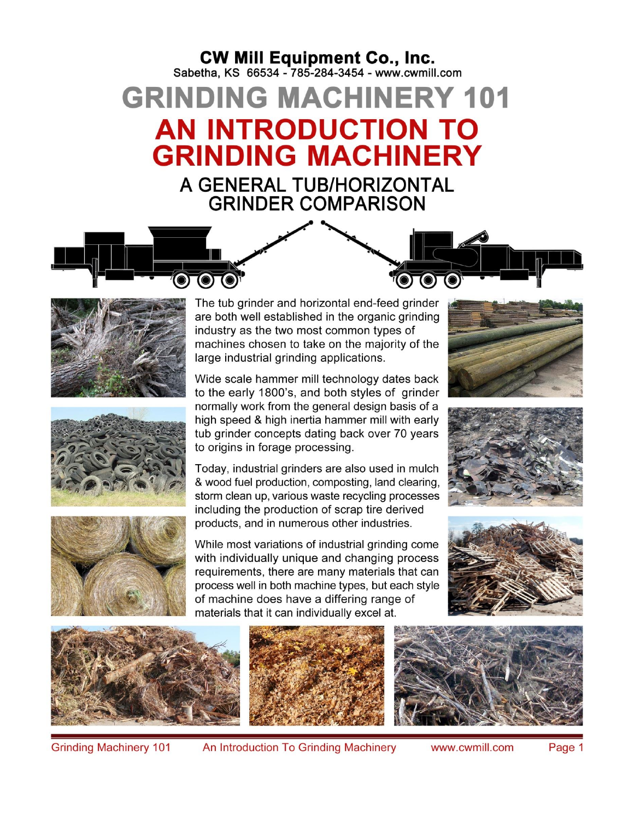## **CW Mill Equipment Co., Inc.**<br>Sabetha, KS 66534 - 785-284-3454 - www.cwmill.com

**GRINDING MACHINERY 101 AN INTRODUCTION TO GRINDING MACHINERY** A GENERAL TUB/HORIZONTAL **GRINDER COMPARISON** 







are both well established in the organic grinding industry as the two most common types of machines chosen to take on the majority of the large industrial grinding applications. Wide scale hammer mill technology dates back

to the early 1800's, and both styles of grinder normally work from the general design basis of a high speed & high inertia hammer mill with early tub grinder concepts dating back over 70 years to origins in forage processing.

Today, industrial grinders are also used in mulch & wood fuel production, composting, land clearing, storm clean up, various waste recycling processes including the production of scrap tire derived products, and in numerous other industries.

While most variations of industrial grinding come with individually unique and changing process requirements, there are many materials that can process well in both machine types, but each style of machine does have a differing range of materials that it can individually excel at.













**Grinding Machinery 101** 

An Introduction To Grinding Machinery

www.cwmill.com

Page 1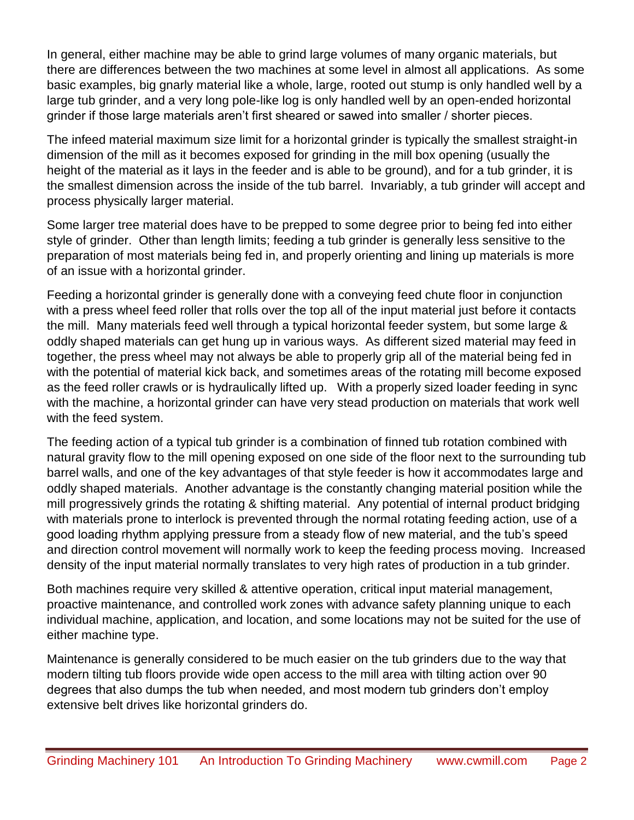In general, either machine may be able to grind large volumes of many organic materials, but there are differences between the two machines at some level in almost all applications. As some basic examples, big gnarly material like a whole, large, rooted out stump is only handled well by a large tub grinder, and a very long pole-like log is only handled well by an open-ended horizontal grinder if those large materials aren't first sheared or sawed into smaller / shorter pieces.

The infeed material maximum size limit for a horizontal grinder is typically the smallest straight-in dimension of the mill as it becomes exposed for grinding in the mill box opening (usually the height of the material as it lays in the feeder and is able to be ground), and for a tub grinder, it is the smallest dimension across the inside of the tub barrel. Invariably, a tub grinder will accept and process physically larger material.

Some larger tree material does have to be prepped to some degree prior to being fed into either style of grinder. Other than length limits; feeding a tub grinder is generally less sensitive to the preparation of most materials being fed in, and properly orienting and lining up materials is more of an issue with a horizontal grinder.

Feeding a horizontal grinder is generally done with a conveying feed chute floor in conjunction with a press wheel feed roller that rolls over the top all of the input material just before it contacts the mill. Many materials feed well through a typical horizontal feeder system, but some large & oddly shaped materials can get hung up in various ways. As different sized material may feed in together, the press wheel may not always be able to properly grip all of the material being fed in with the potential of material kick back, and sometimes areas of the rotating mill become exposed as the feed roller crawls or is hydraulically lifted up. With a properly sized loader feeding in sync with the machine, a horizontal grinder can have very stead production on materials that work well with the feed system.

The feeding action of a typical tub grinder is a combination of finned tub rotation combined with natural gravity flow to the mill opening exposed on one side of the floor next to the surrounding tub barrel walls, and one of the key advantages of that style feeder is how it accommodates large and oddly shaped materials. Another advantage is the constantly changing material position while the mill progressively grinds the rotating & shifting material. Any potential of internal product bridging with materials prone to interlock is prevented through the normal rotating feeding action, use of a good loading rhythm applying pressure from a steady flow of new material, and the tub's speed and direction control movement will normally work to keep the feeding process moving. Increased density of the input material normally translates to very high rates of production in a tub grinder.

Both machines require very skilled & attentive operation, critical input material management, proactive maintenance, and controlled work zones with advance safety planning unique to each individual machine, application, and location, and some locations may not be suited for the use of either machine type.

Maintenance is generally considered to be much easier on the tub grinders due to the way that modern tilting tub floors provide wide open access to the mill area with tilting action over 90 degrees that also dumps the tub when needed, and most modern tub grinders don't employ extensive belt drives like horizontal grinders do.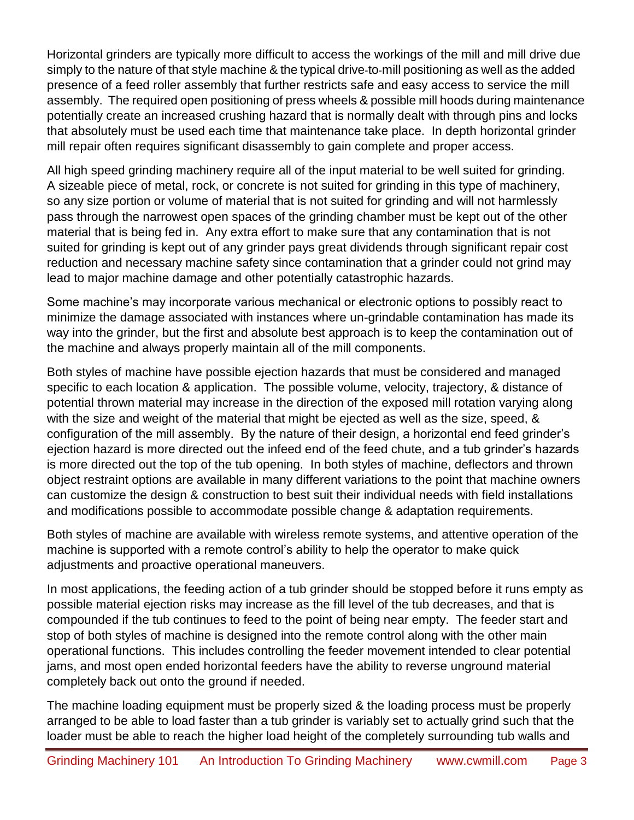Horizontal grinders are typically more difficult to access the workings of the mill and mill drive due simply to the nature of that style machine & the typical drive-to-mill positioning as well as the added presence of a feed roller assembly that further restricts safe and easy access to service the mill assembly. The required open positioning of press wheels & possible mill hoods during maintenance potentially create an increased crushing hazard that is normally dealt with through pins and locks that absolutely must be used each time that maintenance take place. In depth horizontal grinder mill repair often requires significant disassembly to gain complete and proper access.

All high speed grinding machinery require all of the input material to be well suited for grinding. A sizeable piece of metal, rock, or concrete is not suited for grinding in this type of machinery, so any size portion or volume of material that is not suited for grinding and will not harmlessly pass through the narrowest open spaces of the grinding chamber must be kept out of the other material that is being fed in. Any extra effort to make sure that any contamination that is not suited for grinding is kept out of any grinder pays great dividends through significant repair cost reduction and necessary machine safety since contamination that a grinder could not grind may lead to major machine damage and other potentially catastrophic hazards.

Some machine's may incorporate various mechanical or electronic options to possibly react to minimize the damage associated with instances where un-grindable contamination has made its way into the grinder, but the first and absolute best approach is to keep the contamination out of the machine and always properly maintain all of the mill components.

Both styles of machine have possible ejection hazards that must be considered and managed specific to each location & application. The possible volume, velocity, trajectory, & distance of potential thrown material may increase in the direction of the exposed mill rotation varying along with the size and weight of the material that might be ejected as well as the size, speed, & configuration of the mill assembly. By the nature of their design, a horizontal end feed grinder's ejection hazard is more directed out the infeed end of the feed chute, and a tub grinder's hazards is more directed out the top of the tub opening. In both styles of machine, deflectors and thrown object restraint options are available in many different variations to the point that machine owners can customize the design & construction to best suit their individual needs with field installations and modifications possible to accommodate possible change & adaptation requirements.

Both styles of machine are available with wireless remote systems, and attentive operation of the machine is supported with a remote control's ability to help the operator to make quick adjustments and proactive operational maneuvers.

In most applications, the feeding action of a tub grinder should be stopped before it runs empty as possible material ejection risks may increase as the fill level of the tub decreases, and that is compounded if the tub continues to feed to the point of being near empty. The feeder start and stop of both styles of machine is designed into the remote control along with the other main operational functions. This includes controlling the feeder movement intended to clear potential jams, and most open ended horizontal feeders have the ability to reverse unground material completely back out onto the ground if needed.

The machine loading equipment must be properly sized & the loading process must be properly arranged to be able to load faster than a tub grinder is variably set to actually grind such that the loader must be able to reach the higher load height of the completely surrounding tub walls and